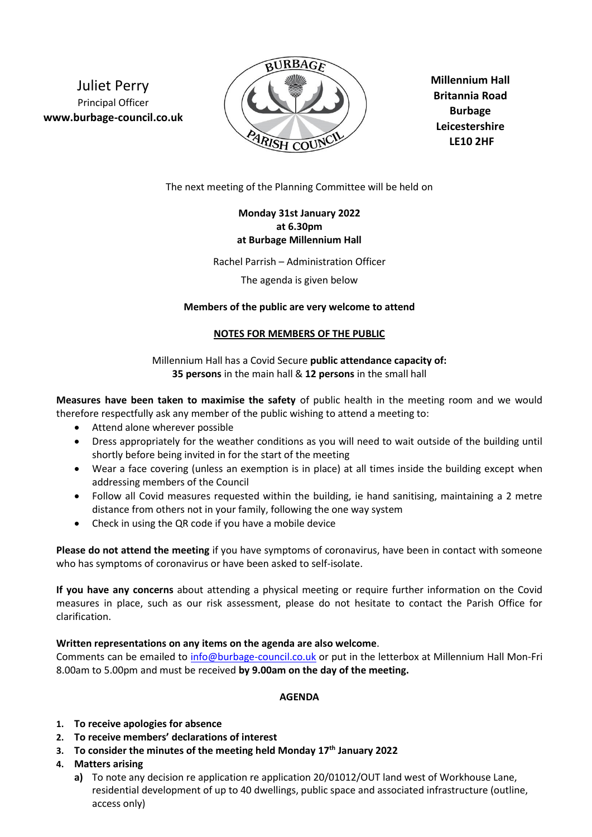Juliet Perry Principal Officer **www.burbage-council.co.uk**



**Millennium Hall Britannia Road Burbage Leicestershire LE10 2HF**

The next meeting of the Planning Committee will be held on

## **Monday 31st January 2022 at 6.30pm at Burbage Millennium Hall**

Rachel Parrish – Administration Officer

The agenda is given below

### **Members of the public are very welcome to attend**

### **NOTES FOR MEMBERS OF THE PUBLIC**

Millennium Hall has a Covid Secure **public attendance capacity of: 35 persons** in the main hall & **12 persons** in the small hall

**Measures have been taken to maximise the safety** of public health in the meeting room and we would therefore respectfully ask any member of the public wishing to attend a meeting to:

- Attend alone wherever possible
- Dress appropriately for the weather conditions as you will need to wait outside of the building until shortly before being invited in for the start of the meeting
- Wear a face covering (unless an exemption is in place) at all times inside the building except when addressing members of the Council
- Follow all Covid measures requested within the building, ie hand sanitising, maintaining a 2 metre distance from others not in your family, following the one way system
- Check in using the QR code if you have a mobile device

**Please do not attend the meeting** if you have symptoms of coronavirus, have been in contact with someone who has symptoms of coronavirus or have been asked to self-isolate.

**If you have any concerns** about attending a physical meeting or require further information on the Covid measures in place, such as our risk assessment, please do not hesitate to contact the Parish Office for clarification.

## **Written representations on any items on the agenda are also welcome**.

Comments can be emailed to [info@burbage-council.co.uk](mailto:info@burbage-council.co.uk) or put in the letterbox at Millennium Hall Mon-Fri 8.00am to 5.00pm and must be received **by 9.00am on the day of the meeting.**

## **AGENDA**

- **1. To receive apologies for absence**
- **2. To receive members' declarations of interest**
- **3. To consider the minutes of the meeting held Monday 17th January 2022**
- **4. Matters arising**
	- **a)** To note any decision re application re application 20/01012/OUT land west of Workhouse Lane, residential development of up to 40 dwellings, public space and associated infrastructure (outline, access only)